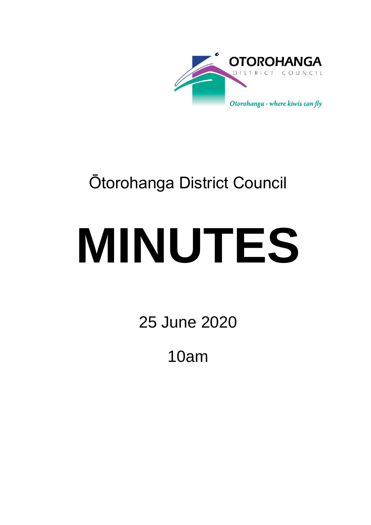

# Ōtorohanga District Council

# **MINUTES**

25 June 2020

10am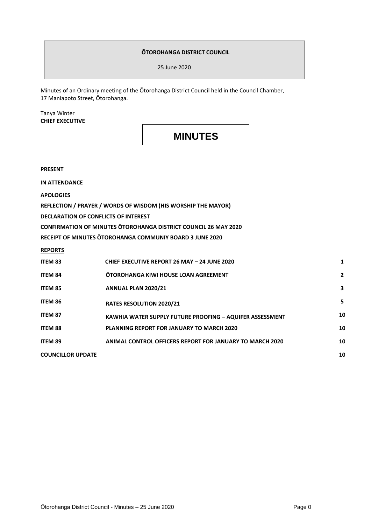#### **ŌTOROHANGA DISTRICT COUNCIL**

25 June 2020

Minutes of an Ordinary meeting of the Ōtorohanga District Council held in the Council Chamber, 17 Maniapoto Street, Ōtorohanga.

#### Tanya Winter **CHIEF EXECUTIVE**

### **MINUTES**

**PRESENT**

**IN ATTENDANCE**

**APOLOGIES**

**REFLECTION / PRAYER / WORDS OF WISDOM (HIS WORSHIP THE MAYOR)**

**DECLARATION OF CONFLICTS OF INTEREST**

**CONFIRMATION OF MINUTES ŌTOROHANGA DISTRICT COUNCIL 26 MAY 2020**

**RECEIPT OF MINUTES ŌTOROHANGA COMMUNIY BOARD 3 JUNE 2020**

**REPORTS**

| <b>ITEM 83</b>           | <b>CHIEF EXECUTIVE REPORT 26 MAY - 24 JUNE 2020</b>             | 1            |
|--------------------------|-----------------------------------------------------------------|--------------|
| <b>ITEM 84</b>           | <b>OTOROHANGA KIWI HOUSE LOAN AGREEMENT</b>                     | $\mathbf{2}$ |
| ITEM 85                  | ANNUAL PLAN 2020/21                                             | 3            |
| ITEM 86                  | <b>RATES RESOLUTION 2020/21</b>                                 | 5            |
| <b>ITEM 87</b>           | <b>KAWHIA WATER SUPPLY FUTURE PROOFING - AQUIFER ASSESSMENT</b> | 10           |
| <b>ITEM 88</b>           | <b>PLANNING REPORT FOR JANUARY TO MARCH 2020</b>                | 10           |
| <b>ITEM 89</b>           | <b>ANIMAL CONTROL OFFICERS REPORT FOR JANUARY TO MARCH 2020</b> | 10           |
| <b>COUNCILLOR UPDATE</b> |                                                                 | 10           |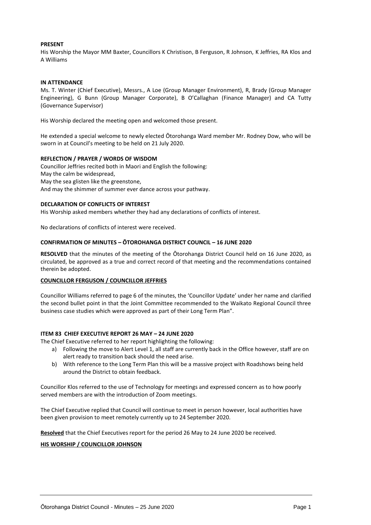#### **PRESENT**

His Worship the Mayor MM Baxter, Councillors K Christison, B Ferguson, R Johnson, K Jeffries, RA Klos and A Williams

#### **IN ATTENDANCE**

Ms. T. Winter (Chief Executive), Messrs., A Loe (Group Manager Environment), R, Brady (Group Manager Engineering), G Bunn (Group Manager Corporate), B O'Callaghan (Finance Manager) and CA Tutty (Governance Supervisor)

His Worship declared the meeting open and welcomed those present.

He extended a special welcome to newly elected Ōtorohanga Ward member Mr. Rodney Dow, who will be sworn in at Council's meeting to be held on 21 July 2020.

#### **REFLECTION / PRAYER / WORDS OF WISDOM**

Councillor Jeffries recited both in Maori and English the following: May the calm be widespread, May the sea glisten like the greenstone, And may the shimmer of summer ever dance across your pathway.

#### **DECLARATION OF CONFLICTS OF INTEREST**

His Worship asked members whether they had any declarations of conflicts of interest.

No declarations of conflicts of interest were received.

#### **CONFIRMATION OF MINUTES – ŌTOROHANGA DISTRICT COUNCIL – 16 JUNE 2020**

**RESOLVED** that the minutes of the meeting of the Ōtorohanga District Council held on 16 June 2020, as circulated, be approved as a true and correct record of that meeting and the recommendations contained therein be adopted.

#### **COUNCILLOR FERGUSON / COUNCILLOR JEFFRIES**

Councillor Williams referred to page 6 of the minutes, the 'Councillor Update' under her name and clarified the second bullet point in that the Joint Committee recommended to the Waikato Regional Council three business case studies which were approved as part of their Long Term Plan".

#### **ITEM 83 CHIEF EXECUTIVE REPORT 26 MAY – 24 JUNE 2020**

The Chief Executive referred to her report highlighting the following:

- a) Following the move to Alert Level 1, all staff are currently back in the Office however, staff are on alert ready to transition back should the need arise.
- b) With reference to the Long Term Plan this will be a massive project with Roadshows being held around the District to obtain feedback.

Councillor Klos referred to the use of Technology for meetings and expressed concern as to how poorly served members are with the introduction of Zoom meetings.

The Chief Executive replied that Council will continue to meet in person however, local authorities have been given provision to meet remotely currently up to 24 September 2020.

**Resolved** that the Chief Executives report for the period 26 May to 24 June 2020 be received.

#### **HIS WORSHIP / COUNCILLOR JOHNSON**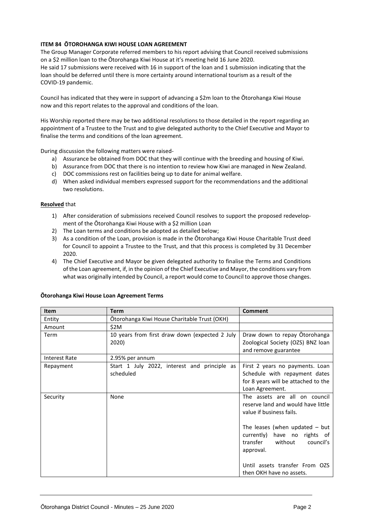#### **ITEM 84 ŌTOROHANGA KIWI HOUSE LOAN AGREEMENT**

The Group Manager Corporate referred members to his report advising that Council received submissions on a \$2 million loan to the Ōtorohanga Kiwi House at it's meeting held 16 June 2020.

He said 17 submissions were received with 16 in support of the loan and 1 submission indicating that the loan should be deferred until there is more certainty around international tourism as a result of the COVID-19 pandemic.

Council has indicated that they were in support of advancing a \$2m loan to the Ōtorohanga Kiwi House now and this report relates to the approval and conditions of the loan.

His Worship reported there may be two additional resolutions to those detailed in the report regarding an appointment of a Trustee to the Trust and to give delegated authority to the Chief Executive and Mayor to finalise the terms and conditions of the loan agreement.

During discussion the following matters were raised-

- a) Assurance be obtained from DOC that they will continue with the breeding and housing of Kiwi.
- b) Assurance from DOC that there is no intention to review how Kiwi are managed in New Zealand.
- c) DOC commissions rest on facilities being up to date for animal welfare.
- d) When asked individual members expressed support for the recommendations and the additional two resolutions.

#### **Resolved** that

- 1) After consideration of submissions received Council resolves to support the proposed redevelopment of the Ōtorohanga Kiwi House with a \$2 million Loan
- 2) The Loan terms and conditions be adopted as detailed below;
- 3) As a condition of the Loan, provision is made in the Ōtorohanga Kiwi House Charitable Trust deed for Council to appoint a Trustee to the Trust, and that this process is completed by 31 December 2020.
- 4) The Chief Executive and Mayor be given delegated authority to finalise the Terms and Conditions of the Loan agreement, if, in the opinion of the Chief Executive and Mayor, the conditions vary from what was originally intended by Council, a report would come to Council to approve those changes.

| <b>Item</b>          | <b>Term</b>                                               | Comment                                                                                                                                                                                                                                                                               |
|----------------------|-----------------------------------------------------------|---------------------------------------------------------------------------------------------------------------------------------------------------------------------------------------------------------------------------------------------------------------------------------------|
| Entity               | Ōtorohanga Kiwi House Charitable Trust (OKH)              |                                                                                                                                                                                                                                                                                       |
| Amount               | \$2M                                                      |                                                                                                                                                                                                                                                                                       |
| Term                 | 10 years from first draw down (expected 2 July<br>2020)   | Draw down to repay Otorohanga<br>Zoological Society (OZS) BNZ loan<br>and remove guarantee                                                                                                                                                                                            |
| <b>Interest Rate</b> | 2.95% per annum                                           |                                                                                                                                                                                                                                                                                       |
| Repayment            | Start 1 July 2022, interest and principle as<br>scheduled | First 2 years no payments. Loan<br>Schedule with repayment dates<br>for 8 years will be attached to the<br>Loan Agreement.                                                                                                                                                            |
| Security             | None                                                      | The assets are all on council<br>reserve land and would have little<br>value if business fails.<br>The leases (when updated $-$ but<br>currently)<br>have no rights of<br>transfer<br>without<br>council's<br>approval.<br>Until assets transfer From OZS<br>then OKH have no assets. |

#### **Ōtorohanga Kiwi House Loan Agreement Terms**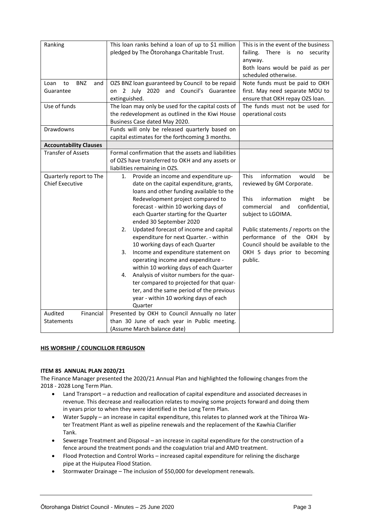| Ranking                         | This loan ranks behind a loan of up to \$1 million<br>pledged by The Otorohanga Charitable Trust. | This is in the event of the business<br>failing. There is no security<br>anyway.<br>Both loans would be paid as per |
|---------------------------------|---------------------------------------------------------------------------------------------------|---------------------------------------------------------------------------------------------------------------------|
|                                 |                                                                                                   | scheduled otherwise.                                                                                                |
| <b>BNZ</b><br>Loan<br>to<br>and | OZS BNZ loan guaranteed by Council to be repaid                                                   | Note funds must be paid to OKH                                                                                      |
| Guarantee                       | on 2 July 2020 and Council's Guarantee                                                            | first. May need separate MOU to                                                                                     |
|                                 | extinguished.                                                                                     | ensure that OKH repay OZS loan.                                                                                     |
| Use of funds                    | The loan may only be used for the capital costs of                                                | The funds must not be used for                                                                                      |
|                                 | the redevelopment as outlined in the Kiwi House                                                   | operational costs                                                                                                   |
|                                 | Business Case dated May 2020.                                                                     |                                                                                                                     |
| Drawdowns                       | Funds will only be released quarterly based on                                                    |                                                                                                                     |
|                                 | capital estimates for the forthcoming 3 months.                                                   |                                                                                                                     |
| <b>Accountability Clauses</b>   |                                                                                                   |                                                                                                                     |
| <b>Transfer of Assets</b>       | Formal confirmation that the assets and liabilities                                               |                                                                                                                     |
|                                 | of OZS have transferred to OKH and any assets or                                                  |                                                                                                                     |
|                                 | liabilities remaining in OZS.                                                                     |                                                                                                                     |
| Quarterly report to The         | Provide an income and expenditure up-<br>1.                                                       | information<br><b>This</b><br>would<br>be                                                                           |
| <b>Chief Executive</b>          | date on the capital expenditure, grants,                                                          | reviewed by GM Corporate.                                                                                           |
|                                 | loans and other funding available to the                                                          |                                                                                                                     |
|                                 | Redevelopment project compared to                                                                 | This<br>information<br>might<br>be                                                                                  |
|                                 | forecast - within 10 working days of                                                              | commercial<br>confidential,<br>and                                                                                  |
|                                 | each Quarter starting for the Quarter                                                             | subject to LGOIMA.                                                                                                  |
|                                 | ended 30 September 2020                                                                           |                                                                                                                     |
|                                 | Updated forecast of income and capital<br>2.                                                      | Public statements / reports on the                                                                                  |
|                                 |                                                                                                   |                                                                                                                     |
|                                 | expenditure for next Quarter. - within                                                            | performance of the OKH by                                                                                           |
|                                 | 10 working days of each Quarter                                                                   | Council should be available to the                                                                                  |
|                                 | Income and expenditure statement on<br>3.                                                         | OKH 5 days prior to becoming                                                                                        |
|                                 | operating income and expenditure -                                                                | public.                                                                                                             |
|                                 | within 10 working days of each Quarter                                                            |                                                                                                                     |
|                                 | Analysis of visitor numbers for the quar-<br>4.                                                   |                                                                                                                     |
|                                 | ter compared to projected for that quar-                                                          |                                                                                                                     |
|                                 | ter, and the same period of the previous                                                          |                                                                                                                     |
|                                 | year - within 10 working days of each                                                             |                                                                                                                     |
|                                 | Quarter                                                                                           |                                                                                                                     |
| Audited<br>Financial            | Presented by OKH to Council Annually no later                                                     |                                                                                                                     |
| Statements                      | than 30 June of each year in Public meeting.                                                      |                                                                                                                     |
|                                 | (Assume March balance date)                                                                       |                                                                                                                     |

#### **HIS WORSHIP / COUNCILLOR FERGUSON**

#### **ITEM 85 ANNUAL PLAN 2020/21**

The Finance Manager presented the 2020/21 Annual Plan and highlighted the following changes from the 2018 - 2028 Long Term Plan.

- Land Transport a reduction and reallocation of capital expenditure and associated decreases in revenue. This decrease and reallocation relates to moving some projects forward and doing them in years prior to when they were identified in the Long Term Plan.
- Water Supply an increase in capital expenditure, this relates to planned work at the Tihiroa Water Treatment Plant as well as pipeline renewals and the replacement of the Kawhia Clarifier Tank.
- Sewerage Treatment and Disposal an increase in capital expenditure for the construction of a fence around the treatment ponds and the coagulation trial and AMD treatment.
- Flood Protection and Control Works increased capital expenditure for relining the discharge pipe at the Huiputea Flood Station.
- Stormwater Drainage The inclusion of \$50,000 for development renewals.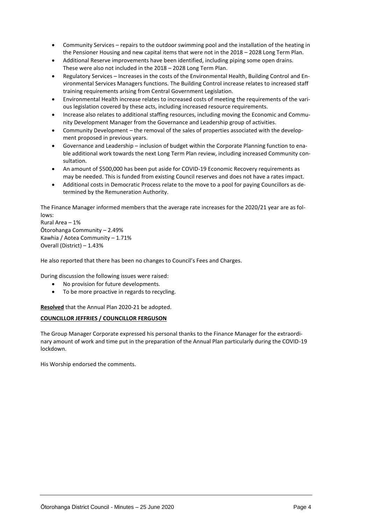- Community Services repairs to the outdoor swimming pool and the installation of the heating in the Pensioner Housing and new capital items that were not in the 2018 – 2028 Long Term Plan.
- Additional Reserve improvements have been identified, including piping some open drains. These were also not included in the 2018 – 2028 Long Term Plan.
- Regulatory Services Increases in the costs of the Environmental Health, Building Control and Environmental Services Managers functions. The Building Control increase relates to increased staff training requirements arising from Central Government Legislation.
- Environmental Health increase relates to increased costs of meeting the requirements of the various legislation covered by these acts, including increased resource requirements.
- Increase also relates to additional staffing resources, including moving the Economic and Community Development Manager from the Governance and Leadership group of activities.
- Community Development the removal of the sales of properties associated with the development proposed in previous years.
- Governance and Leadership inclusion of budget within the Corporate Planning function to enable additional work towards the next Long Term Plan review, including increased Community consultation.
- An amount of \$500,000 has been put aside for COVID-19 Economic Recovery requirements as may be needed. This is funded from existing Council reserves and does not have a rates impact.
- Additional costs in Democratic Process relate to the move to a pool for paying Councillors as determined by the Remuneration Authority.

The Finance Manager informed members that the average rate increases for the 2020/21 year are as follows:

Rural Area – 1% Ōtorohanga Community – 2.49% Kawhia / Aotea Community – 1.71% Overall (District) – 1.43%

He also reported that there has been no changes to Council's Fees and Charges.

During discussion the following issues were raised:

- No provision for future developments.
- To be more proactive in regards to recycling.

**Resolved** that the Annual Plan 2020-21 be adopted.

#### **COUNCILLOR JEFFRIES / COUNCILLOR FERGUSON**

The Group Manager Corporate expressed his personal thanks to the Finance Manager for the extraordinary amount of work and time put in the preparation of the Annual Plan particularly during the COVID-19 lockdown.

His Worship endorsed the comments.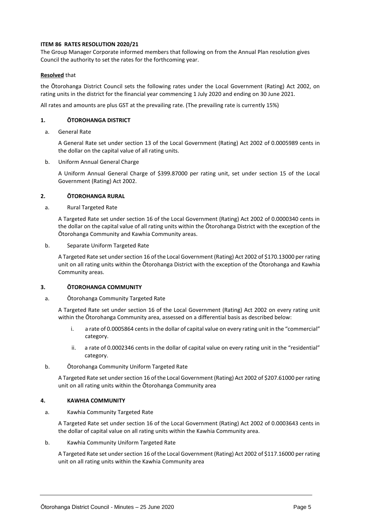#### **ITEM 86 RATES RESOLUTION 2020/21**

The Group Manager Corporate informed members that following on from the Annual Plan resolution gives Council the authority to set the rates for the forthcoming year.

#### **Resolved** that

the Ōtorohanga District Council sets the following rates under the Local Government (Rating) Act 2002, on rating units in the district for the financial year commencing 1 July 2020 and ending on 30 June 2021.

All rates and amounts are plus GST at the prevailing rate. (The prevailing rate is currently 15%)

#### **1. ŌTOROHANGA DISTRICT**

a. General Rate

A General Rate set under section 13 of the Local Government (Rating) Act 2002 of 0.0005989 cents in the dollar on the capital value of all rating units.

b. Uniform Annual General Charge

A Uniform Annual General Charge of \$399.87000 per rating unit, set under section 15 of the Local Government (Rating) Act 2002.

#### **2. ŌTOROHANGA RURAL**

a. Rural Targeted Rate

A Targeted Rate set under section 16 of the Local Government (Rating) Act 2002 of 0.0000340 cents in the dollar on the capital value of all rating units within the Ōtorohanga District with the exception of the Ōtorohanga Community and Kawhia Community areas.

b. Separate Uniform Targeted Rate

A Targeted Rate set under section 16 of the Local Government (Rating) Act 2002 of \$170.13000 per rating unit on all rating units within the Ōtorohanga District with the exception of the Ōtorohanga and Kawhia Community areas.

#### **3. ŌTOROHANGA COMMUNITY**

#### a. Ōtorohanga Community Targeted Rate

A Targeted Rate set under section 16 of the Local Government (Rating) Act 2002 on every rating unit within the Ōtorohanga Community area, assessed on a differential basis as described below:

- i. a rate of 0.0005864 cents in the dollar of capital value on every rating unit in the "commercial" category.
- ii. a rate of 0.0002346 cents in the dollar of capital value on every rating unit in the "residential" category.
- b. Ōtorohanga Community Uniform Targeted Rate

A Targeted Rate set under section 16 of the Local Government (Rating) Act 2002 of \$207.61000 per rating unit on all rating units within the Ōtorohanga Community area

#### **4. KAWHIA COMMUNITY**

a. Kawhia Community Targeted Rate

A Targeted Rate set under section 16 of the Local Government (Rating) Act 2002 of 0.0003643 cents in the dollar of capital value on all rating units within the Kawhia Community area.

b. Kawhia Community Uniform Targeted Rate

A Targeted Rate set under section 16 of the Local Government (Rating) Act 2002 of \$117.16000 per rating unit on all rating units within the Kawhia Community area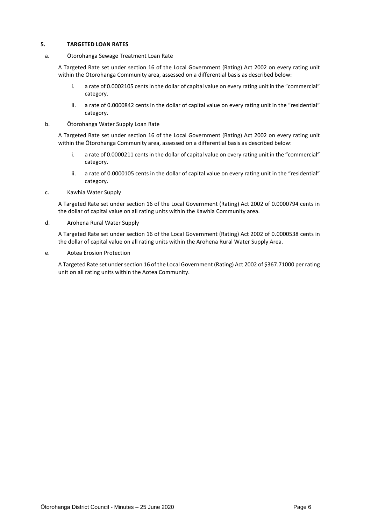#### **5. TARGETED LOAN RATES**

a. Ōtorohanga Sewage Treatment Loan Rate

A Targeted Rate set under section 16 of the Local Government (Rating) Act 2002 on every rating unit within the Ōtorohanga Community area, assessed on a differential basis as described below:

- i. a rate of 0.0002105 cents in the dollar of capital value on every rating unit in the "commercial" category.
- ii. a rate of 0.0000842 cents in the dollar of capital value on every rating unit in the "residential" category.
- b. Ōtorohanga Water Supply Loan Rate

A Targeted Rate set under section 16 of the Local Government (Rating) Act 2002 on every rating unit within the Ōtorohanga Community area, assessed on a differential basis as described below:

- i. a rate of 0.0000211 cents in the dollar of capital value on every rating unit in the "commercial" category.
- ii. a rate of 0.0000105 cents in the dollar of capital value on every rating unit in the "residential" category.
- c. Kawhia Water Supply

A Targeted Rate set under section 16 of the Local Government (Rating) Act 2002 of 0.0000794 cents in the dollar of capital value on all rating units within the Kawhia Community area.

d. Arohena Rural Water Supply

A Targeted Rate set under section 16 of the Local Government (Rating) Act 2002 of 0.0000538 cents in the dollar of capital value on all rating units within the Arohena Rural Water Supply Area.

e. Aotea Erosion Protection

A Targeted Rate set under section 16 of the Local Government (Rating) Act 2002 of \$367.71000 per rating unit on all rating units within the Aotea Community.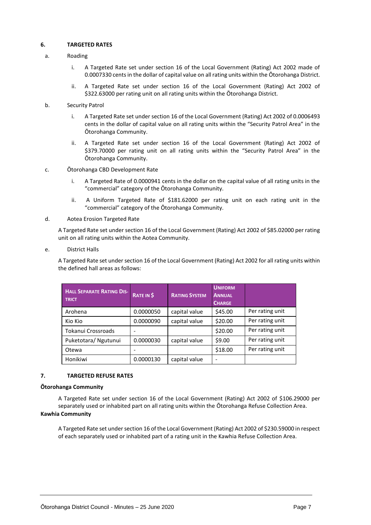#### **6. TARGETED RATES**

#### a. Roading

- i. A Targeted Rate set under section 16 of the Local Government (Rating) Act 2002 made of 0.0007330 cents in the dollar of capital value on all rating units within the Ōtorohanga District.
- ii. A Targeted Rate set under section 16 of the Local Government (Rating) Act 2002 of \$322.63000 per rating unit on all rating units within the Ōtorohanga District.

#### b. Security Patrol

- i. A Targeted Rate set under section 16 of the Local Government (Rating) Act 2002 of 0.0006493 cents in the dollar of capital value on all rating units within the "Security Patrol Area" in the Ōtorohanga Community.
- ii. A Targeted Rate set under section 16 of the Local Government (Rating) Act 2002 of \$379.70000 per rating unit on all rating units within the "Security Patrol Area" in the Ōtorohanga Community.
- c. Ōtorohanga CBD Development Rate
	- i. A Targeted Rate of 0.0000941 cents in the dollar on the capital value of all rating units in the "commercial" category of the Ōtorohanga Community.
	- ii. A Uniform Targeted Rate of \$181.62000 per rating unit on each rating unit in the "commercial" category of the Ōtorohanga Community.

#### d. Aotea Erosion Targeted Rate

A Targeted Rate set under section 16 of the Local Government (Rating) Act 2002 of \$85.02000 per rating unit on all rating units within the Aotea Community.

#### e. District Halls

A Targeted Rate set under section 16 of the Local Government (Rating) Act 2002 for all rating units within the defined hall areas as follows:

| <b>HALL SEPARATE RATING DIS-</b><br><b>TRICT</b> | <b>RATE IN S</b> | <b>RATING SYSTEM</b> | <b>UNIFORM</b><br><b>ANNUAL</b><br><b>CHARGE</b> |                 |
|--------------------------------------------------|------------------|----------------------|--------------------------------------------------|-----------------|
| Arohena                                          | 0.0000050        | capital value        | \$45.00                                          | Per rating unit |
| Kio Kio                                          | 0.0000090        | capital value        | \$20.00                                          | Per rating unit |
| Tokanui Crossroads                               | ۰                |                      | \$20.00                                          | Per rating unit |
| Puketotara/ Ngutunui                             | 0.0000030        | capital value        | \$9.00                                           | Per rating unit |
| Otewa                                            |                  |                      | \$18.00                                          | Per rating unit |
| Honikiwi                                         | 0.0000130        | capital value        | -                                                |                 |

#### **7. TARGETED REFUSE RATES**

#### **Ōtorohanga Community**

A Targeted Rate set under section 16 of the Local Government (Rating) Act 2002 of \$106.29000 per separately used or inhabited part on all rating units within the Ōtorohanga Refuse Collection Area. **Kawhia Community**

A Targeted Rate set under section 16 of the Local Government (Rating) Act 2002 of \$230.59000 in respect of each separately used or inhabited part of a rating unit in the Kawhia Refuse Collection Area.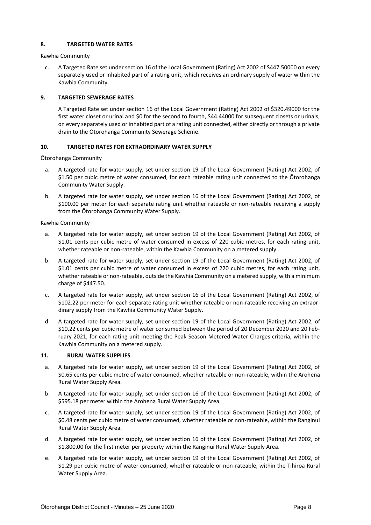#### **8. TARGETED WATER RATES**

Kawhia Community

c. A Targeted Rate set under section 16 of the Local Government (Rating) Act 2002 of \$447.50000 on every separately used or inhabited part of a rating unit, which receives an ordinary supply of water within the Kawhia Community.

#### **9. TARGETED SEWERAGE RATES**

A Targeted Rate set under section 16 of the Local Government (Rating) Act 2002 of \$320.49000 for the first water closet or urinal and \$0 for the second to fourth, \$44.44000 for subsequent closets or urinals, on every separately used or inhabited part of a rating unit connected, either directly or through a private drain to the Ōtorohanga Community Sewerage Scheme.

#### **10. TARGETED RATES FOR EXTRAORDINARY WATER SUPPLY**

Ōtorohanga Community

- a. A targeted rate for water supply, set under section 19 of the Local Government (Rating) Act 2002, of \$1.50 per cubic metre of water consumed, for each rateable rating unit connected to the Ōtorohanga Community Water Supply.
- b. A targeted rate for water supply, set under section 16 of the Local Government (Rating) Act 2002, of \$100.00 per meter for each separate rating unit whether rateable or non-rateable receiving a supply from the Ōtorohanga Community Water Supply.

Kawhia Community

- a. A targeted rate for water supply, set under section 19 of the Local Government (Rating) Act 2002, of \$1.01 cents per cubic metre of water consumed in excess of 220 cubic metres, for each rating unit, whether rateable or non-rateable, within the Kawhia Community on a metered supply.
- b. A targeted rate for water supply, set under section 19 of the Local Government (Rating) Act 2002, of \$1.01 cents per cubic metre of water consumed in excess of 220 cubic metres, for each rating unit, whether rateable or non-rateable, outside the Kawhia Community on a metered supply, with a minimum charge of \$447.50.
- c. A targeted rate for water supply, set under section 16 of the Local Government (Rating) Act 2002, of \$102.22 per meter for each separate rating unit whether rateable or non-rateable receiving an extraordinary supply from the Kawhia Community Water Supply.
- d. A targeted rate for water supply, set under section 19 of the Local Government (Rating) Act 2002, of \$10.22 cents per cubic metre of water consumed between the period of 20 December 2020 and 20 February 2021, for each rating unit meeting the Peak Season Metered Water Charges criteria, within the Kawhia Community on a metered supply.

#### **11. RURAL WATER SUPPLIES**

- a. A targeted rate for water supply, set under section 19 of the Local Government (Rating) Act 2002, of \$0.65 cents per cubic metre of water consumed, whether rateable or non-rateable, within the Arohena Rural Water Supply Area.
- b. A targeted rate for water supply, set under section 16 of the Local Government (Rating) Act 2002, of \$595.18 per meter within the Arohena Rural Water Supply Area.
- c. A targeted rate for water supply, set under section 19 of the Local Government (Rating) Act 2002, of \$0.48 cents per cubic metre of water consumed, whether rateable or non-rateable, within the Ranginui Rural Water Supply Area.
- d. A targeted rate for water supply, set under section 16 of the Local Government (Rating) Act 2002, of \$1,800.00 for the first meter per property within the Ranginui Rural Water Supply Area.
- e. A targeted rate for water supply, set under section 19 of the Local Government (Rating) Act 2002, of \$1.29 per cubic metre of water consumed, whether rateable or non-rateable, within the Tihiroa Rural Water Supply Area.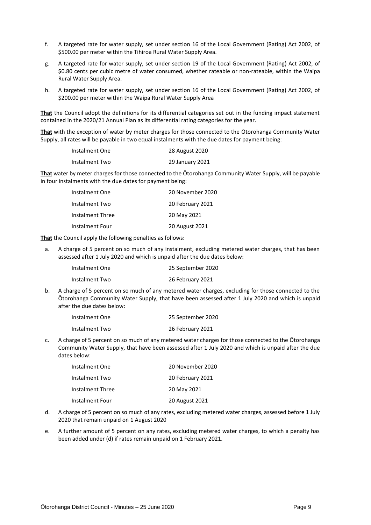- f. A targeted rate for water supply, set under section 16 of the Local Government (Rating) Act 2002, of \$500.00 per meter within the Tihiroa Rural Water Supply Area.
- g. A targeted rate for water supply, set under section 19 of the Local Government (Rating) Act 2002, of \$0.80 cents per cubic metre of water consumed, whether rateable or non-rateable, within the Waipa Rural Water Supply Area.
- h. A targeted rate for water supply, set under section 16 of the Local Government (Rating) Act 2002, of \$200.00 per meter within the Waipa Rural Water Supply Area

**That** the Council adopt the definitions for its differential categories set out in the funding impact statement contained in the 2020/21 Annual Plan as its differential rating categories for the year.

**That** with the exception of water by meter charges for those connected to the Ōtorohanga Community Water Supply, all rates will be payable in two equal instalments with the due dates for payment being:

| Instalment One | 28 August 2020  |
|----------------|-----------------|
| Instalment Two | 29 January 2021 |

**That** water by meter charges for those connected to the Ōtorohanga Community Water Supply, will be payable in four instalments with the due dates for payment being:

| Instalment One   | 20 November 2020 |
|------------------|------------------|
| Instalment Two   | 20 February 2021 |
| Instalment Three | 20 May 2021      |
| Instalment Four  | 20 August 2021   |

**That** the Council apply the following penalties as follows:

a. A charge of 5 percent on so much of any instalment, excluding metered water charges, that has been assessed after 1 July 2020 and which is unpaid after the due dates below:

| Instalment One | 25 September 2020 |
|----------------|-------------------|
| Instalment Two | 26 February 2021  |

b. A charge of 5 percent on so much of any metered water charges, excluding for those connected to the Ōtorohanga Community Water Supply, that have been assessed after 1 July 2020 and which is unpaid after the due dates below:

| Instalment One | 25 September 2020 |
|----------------|-------------------|
| Instalment Two | 26 February 2021  |

c. A charge of 5 percent on so much of any metered water charges for those connected to the Ōtorohanga Community Water Supply, that have been assessed after 1 July 2020 and which is unpaid after the due dates below:

| Instalment One   | 20 November 2020 |
|------------------|------------------|
| Instalment Two   | 20 February 2021 |
| Instalment Three | 20 May 2021      |
| Instalment Four  | 20 August 2021   |

- d. A charge of 5 percent on so much of any rates, excluding metered water charges, assessed before 1 July 2020 that remain unpaid on 1 August 2020
- e. A further amount of 5 percent on any rates, excluding metered water charges, to which a penalty has been added under (d) if rates remain unpaid on 1 February 2021.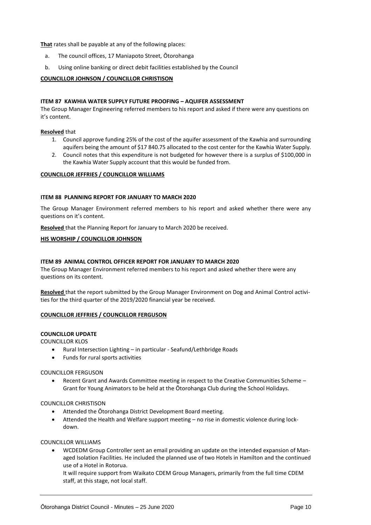**That** rates shall be payable at any of the following places:

- a. The council offices, 17 Maniapoto Street, Ōtorohanga
- b. Using online banking or direct debit facilities established by the Council

#### **COUNCILLOR JOHNSON / COUNCILLOR CHRISTISON**

#### **ITEM 87 KAWHIA WATER SUPPLY FUTURE PROOFING – AQUIFER ASSESSMENT**

The Group Manager Engineering referred members to his report and asked if there were any questions on it's content.

#### **Resolved** that

- 1. Council approve funding 25% of the cost of the aquifer assessment of the Kawhia and surrounding aquifers being the amount of \$17 840.75 allocated to the cost center for the Kawhia Water Supply.
- 2. Council notes that this expenditure is not budgeted for however there is a surplus of \$100,000 in the Kawhia Water Supply account that this would be funded from.

#### **COUNCILLOR JEFFRIES / COUNCILLOR WILLIAMS**

#### **ITEM 88 PLANNING REPORT FOR JANUARY TO MARCH 2020**

The Group Manager Environment referred members to his report and asked whether there were any questions on it's content.

**Resolved** that the Planning Report for January to March 2020 be received.

#### **HIS WORSHIP / COUNCILLOR JOHNSON**

#### **ITEM 89 ANIMAL CONTROL OFFICER REPORT FOR JANUARY TO MARCH 2020**

The Group Manager Environment referred members to his report and asked whether there were any questions on its content.

**Resolved** that the report submitted by the Group Manager Environment on Dog and Animal Control activities for the third quarter of the 2019/2020 financial year be received.

#### **COUNCILLOR JEFFRIES / COUNCILLOR FERGUSON**

#### **COUNCILLOR UPDATE**

COUNCILLOR KLOS

- Rural Intersection Lighting in particular Seafund/Lethbridge Roads
- Funds for rural sports activities

COUNCILLOR FERGUSON

 Recent Grant and Awards Committee meeting in respect to the Creative Communities Scheme – Grant for Young Animators to be held at the Ōtorohanga Club during the School Holidays.

#### COUNCILLOR CHRISTISON

- Attended the Ōtorohanga District Development Board meeting.
- Attended the Health and Welfare support meeting no rise in domestic violence during lockdown.

#### COUNCILLOR WILLIAMS

 WCDEDM Group Controller sent an email providing an update on the intended expansion of Managed Isolation Facilities. He included the planned use of two Hotels in Hamilton and the continued use of a Hotel in Rotorua.

It will require support from Waikato CDEM Group Managers, primarily from the full time CDEM staff, at this stage, not local staff.